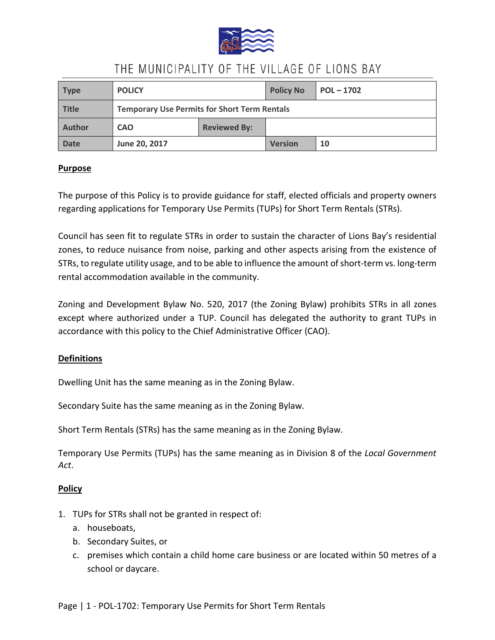

| <b>Type</b>  | <b>POLICY</b>                                       |                     | <b>Policy No</b> | $POL - 1702$ |
|--------------|-----------------------------------------------------|---------------------|------------------|--------------|
| <b>Title</b> | <b>Temporary Use Permits for Short Term Rentals</b> |                     |                  |              |
| Author       | <b>CAO</b>                                          | <b>Reviewed By:</b> |                  |              |
| <b>Date</b>  | June 20, 2017                                       |                     | <b>Version</b>   | 10           |

### **Purpose**

The purpose of this Policy is to provide guidance for staff, elected officials and property owners regarding applications for Temporary Use Permits (TUPs) for Short Term Rentals (STRs).

Council has seen fit to regulate STRs in order to sustain the character of Lions Bay's residential zones, to reduce nuisance from noise, parking and other aspects arising from the existence of STRs, to regulate utility usage, and to be able to influence the amount of short-term vs. long-term rental accommodation available in the community.

Zoning and Development Bylaw No. 520, 2017 (the Zoning Bylaw) prohibits STRs in all zones except where authorized under a TUP. Council has delegated the authority to grant TUPs in accordance with this policy to the Chief Administrative Officer (CAO).

### **Definitions**

Dwelling Unit has the same meaning as in the Zoning Bylaw.

Secondary Suite has the same meaning as in the Zoning Bylaw.

Short Term Rentals (STRs) has the same meaning as in the Zoning Bylaw.

Temporary Use Permits (TUPs) has the same meaning as in Division 8 of the *Local Government Act*.

### **Policy**

- 1. TUPs for STRs shall not be granted in respect of:
	- a. houseboats,
	- b. Secondary Suites, or
	- c. premises which contain a child home care business or are located within 50 metres of a school or daycare.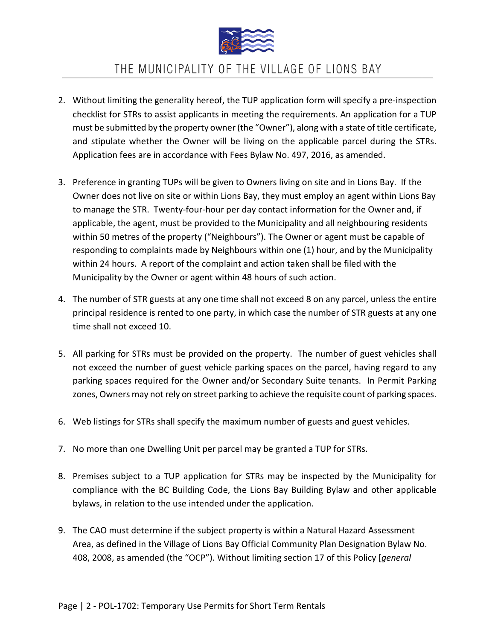

- 2. Without limiting the generality hereof, the TUP application form will specify a pre-inspection checklist for STRs to assist applicants in meeting the requirements. An application for a TUP must be submitted by the property owner (the "Owner"), along with a state of title certificate, and stipulate whether the Owner will be living on the applicable parcel during the STRs. Application fees are in accordance with Fees Bylaw No. 497, 2016, as amended.
- 3. Preference in granting TUPs will be given to Owners living on site and in Lions Bay. If the Owner does not live on site or within Lions Bay, they must employ an agent within Lions Bay to manage the STR. Twenty-four-hour per day contact information for the Owner and, if applicable, the agent, must be provided to the Municipality and all neighbouring residents within 50 metres of the property ("Neighbours"). The Owner or agent must be capable of responding to complaints made by Neighbours within one (1) hour, and by the Municipality within 24 hours. A report of the complaint and action taken shall be filed with the Municipality by the Owner or agent within 48 hours of such action.
- 4. The number of STR guests at any one time shall not exceed 8 on any parcel, unless the entire principal residence is rented to one party, in which case the number of STR guests at any one time shall not exceed 10.
- 5. All parking for STRs must be provided on the property. The number of guest vehicles shall not exceed the number of guest vehicle parking spaces on the parcel, having regard to any parking spaces required for the Owner and/or Secondary Suite tenants. In Permit Parking zones, Owners may not rely on street parking to achieve the requisite count of parking spaces.
- 6. Web listings for STRs shall specify the maximum number of guests and guest vehicles.
- 7. No more than one Dwelling Unit per parcel may be granted a TUP for STRs.
- 8. Premises subject to a TUP application for STRs may be inspected by the Municipality for compliance with the BC Building Code, the Lions Bay Building Bylaw and other applicable bylaws, in relation to the use intended under the application.
- 9. The CAO must determine if the subject property is within a Natural Hazard Assessment Area, as defined in the Village of Lions Bay Official Community Plan Designation Bylaw No. 408, 2008, as amended (the "OCP"). Without limiting section 17 of this Policy [*general*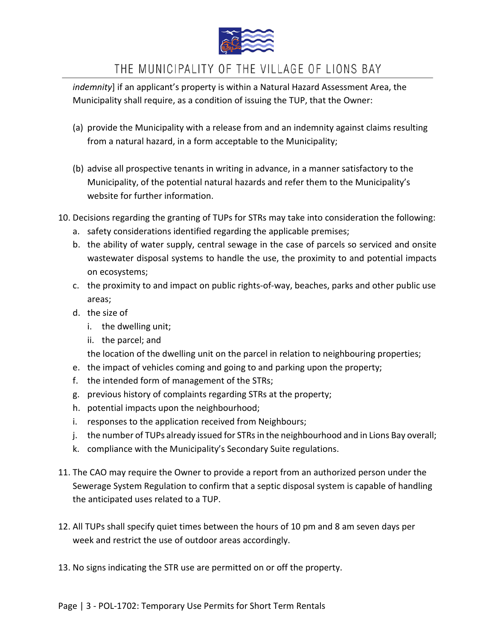

*indemnity*] if an applicant's property is within a Natural Hazard Assessment Area, the Municipality shall require, as a condition of issuing the TUP, that the Owner:

- (a) provide the Municipality with a release from and an indemnity against claims resulting from a natural hazard, in a form acceptable to the Municipality;
- (b) advise all prospective tenants in writing in advance, in a manner satisfactory to the Municipality, of the potential natural hazards and refer them to the Municipality's website for further information.
- 10. Decisions regarding the granting of TUPs for STRs may take into consideration the following:
	- a. safety considerations identified regarding the applicable premises;
	- b. the ability of water supply, central sewage in the case of parcels so serviced and onsite wastewater disposal systems to handle the use, the proximity to and potential impacts on ecosystems;
	- c. the proximity to and impact on public rights-of-way, beaches, parks and other public use areas;
	- d. the size of
		- i. the dwelling unit;
		- ii. the parcel; and

the location of the dwelling unit on the parcel in relation to neighbouring properties;

- e. the impact of vehicles coming and going to and parking upon the property;
- f. the intended form of management of the STRs;
- g. previous history of complaints regarding STRs at the property;
- h. potential impacts upon the neighbourhood;
- i. responses to the application received from Neighbours;
- j. the number of TUPs already issued for STRs in the neighbourhood and in Lions Bay overall;
- k. compliance with the Municipality's Secondary Suite regulations.
- 11. The CAO may require the Owner to provide a report from an authorized person under the Sewerage System Regulation to confirm that a septic disposal system is capable of handling the anticipated uses related to a TUP.
- 12. All TUPs shall specify quiet times between the hours of 10 pm and 8 am seven days per week and restrict the use of outdoor areas accordingly.
- 13. No signs indicating the STR use are permitted on or off the property.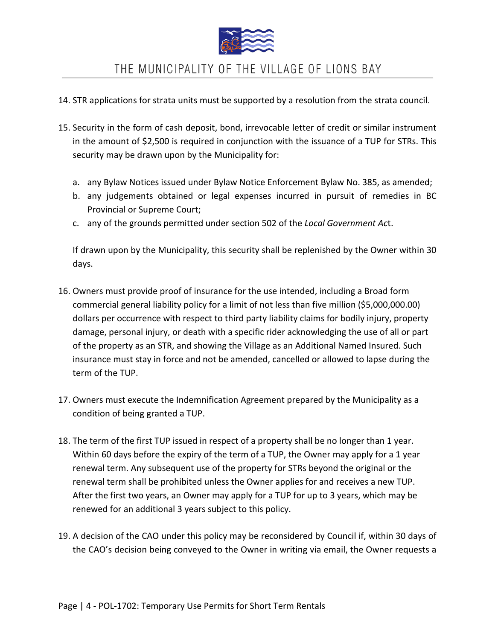

- 14. STR applications for strata units must be supported by a resolution from the strata council.
- 15. Security in the form of cash deposit, bond, irrevocable letter of credit or similar instrument in the amount of \$2,500 is required in conjunction with the issuance of a TUP for STRs. This security may be drawn upon by the Municipality for:
	- a. any Bylaw Notices issued under Bylaw Notice Enforcement Bylaw No. 385, as amended;
	- b. any judgements obtained or legal expenses incurred in pursuit of remedies in BC Provincial or Supreme Court;
	- c. any of the grounds permitted under section 502 of the *Local Government Ac*t.

If drawn upon by the Municipality, this security shall be replenished by the Owner within 30 days.

- 16. Owners must provide proof of insurance for the use intended, including a Broad form commercial general liability policy for a limit of not less than five million (\$5,000,000.00) dollars per occurrence with respect to third party liability claims for bodily injury, property damage, personal injury, or death with a specific rider acknowledging the use of all or part of the property as an STR, and showing the Village as an Additional Named Insured. Such insurance must stay in force and not be amended, cancelled or allowed to lapse during the term of the TUP.
- 17. Owners must execute the Indemnification Agreement prepared by the Municipality as a condition of being granted a TUP.
- 18. The term of the first TUP issued in respect of a property shall be no longer than 1 year. Within 60 days before the expiry of the term of a TUP, the Owner may apply for a 1 year renewal term. Any subsequent use of the property for STRs beyond the original or the renewal term shall be prohibited unless the Owner applies for and receives a new TUP. After the first two years, an Owner may apply for a TUP for up to 3 years, which may be renewed for an additional 3 years subject to this policy.
- 19. A decision of the CAO under this policy may be reconsidered by Council if, within 30 days of the CAO's decision being conveyed to the Owner in writing via email, the Owner requests a